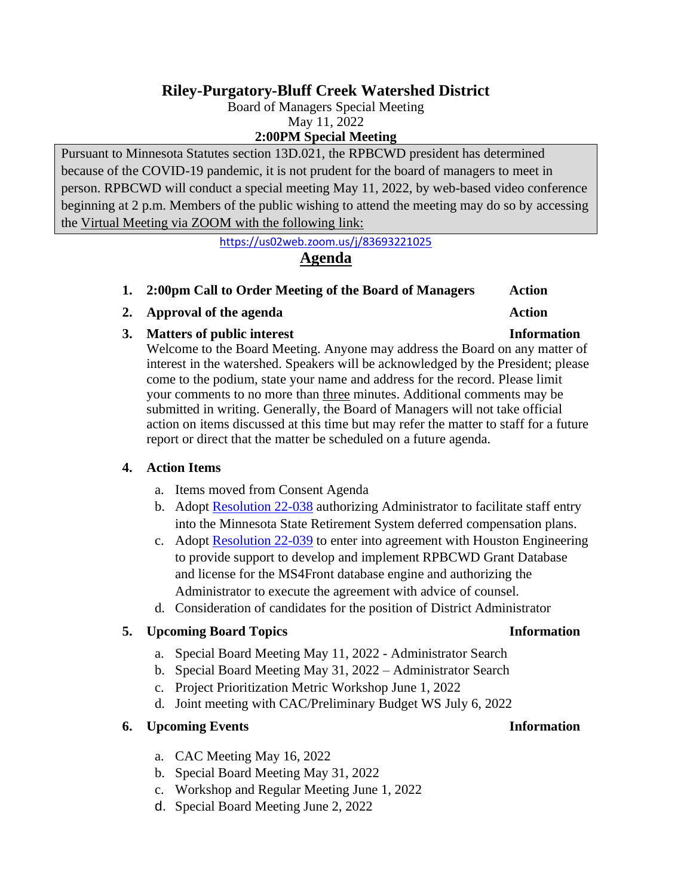# **Riley-Purgatory-Bluff Creek Watershed District**

Board of Managers Special Meeting May 11, 2022

**2:00PM Special Meeting**

Pursuant to Minnesota Statutes section 13D.021, the RPBCWD president has determined because of the COVID-19 pandemic, it is not prudent for the board of managers to meet in person. RPBCWD will conduct a special meeting May 11, 2022, by web-based video conference beginning at 2 p.m. Members of the public wishing to attend the meeting may do so by accessing the Virtual Meeting via ZOOM with the following link:

<https://us02web.zoom.us/j/83693221025>

# **Agenda**

- **1. 2:00pm Call to Order Meeting of the Board of Managers Action**
- **2. Approval of the agenda Action**
- **3. Matters of public interest Information**

Welcome to the Board Meeting. Anyone may address the Board on any matter of interest in the watershed. Speakers will be acknowledged by the President; please come to the podium, state your name and address for the record. Please limit your comments to no more than three minutes. Additional comments may be submitted in writing. Generally, the Board of Managers will not take official action on items discussed at this time but may refer the matter to staff for a future report or direct that the matter be scheduled on a future agenda.

### **4. Action Items**

- a. Items moved from Consent Agenda
- b. Adopt [Resolution 22-038](https://rpbcwd.org/download_file/2477/0) authorizing Administrator to facilitate staff entry into the Minnesota State Retirement System deferred compensation plans.
- c. Adopt [Resolution 22-039](https://rpbcwd.org/download_file/2475/0) to enter into agreement with Houston Engineering to provide support to develop and implement RPBCWD Grant Database and license for the MS4Front database engine and authorizing the Administrator to execute the agreement with advice of counsel.
- d. Consideration of candidates for the position of District Administrator

## **5. Upcoming Board Topics Information**

- a. Special Board Meeting May 11, 2022 Administrator Search
- b. Special Board Meeting May 31, 2022 Administrator Search
- c. Project Prioritization Metric Workshop June 1, 2022
- d. Joint meeting with CAC/Preliminary Budget WS July 6, 2022

#### **6. Upcoming Events Information**

- a. CAC Meeting May 16, 2022
- b. Special Board Meeting May 31, 2022
- c. Workshop and Regular Meeting June 1, 2022
- d. Special Board Meeting June 2, 2022